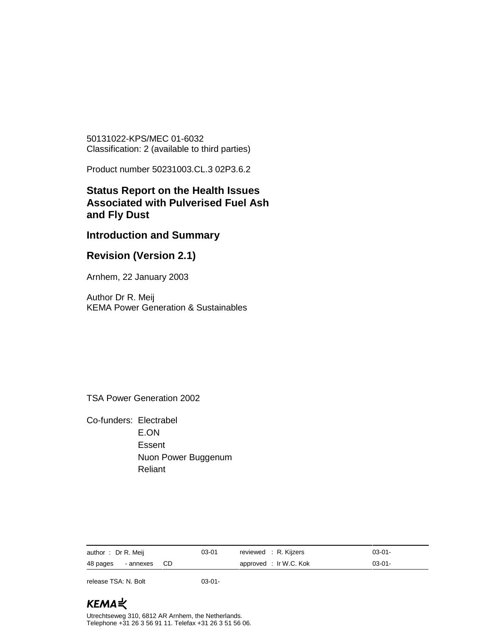50131022-KPS/MEC 01-6032 Classification: 2 (available to third parties)

Product number 50231003.CL.3 02P3.6.2

## **Status Report on the Health Issues Associated with Pulverised Fuel Ash and Fly Dust**

## **Introduction and Summary**

## **Revision (Version 2.1)**

Arnhem, 22 January 2003

Author Dr R. Meij KEMA Power Generation & Sustainables

TSA Power Generation 2002

Co-funders: Electrabel E.ON Essent Nuon Power Buggenum Reliant

| author: Dr R. Meij    | $03 - 01$ | reviewed : R. Kijzers  | $03-01-$ |
|-----------------------|-----------|------------------------|----------|
| 48 pages - annexes CD |           | approved : Ir W.C. Kok | $03-01-$ |

release TSA: N. Bolt 03-01-

# KEMAミ

Utrechtseweg 310, 6812 AR Arnhem, the Netherlands. Telephone +31 26 3 56 91 11. Telefax +31 26 3 51 56 06.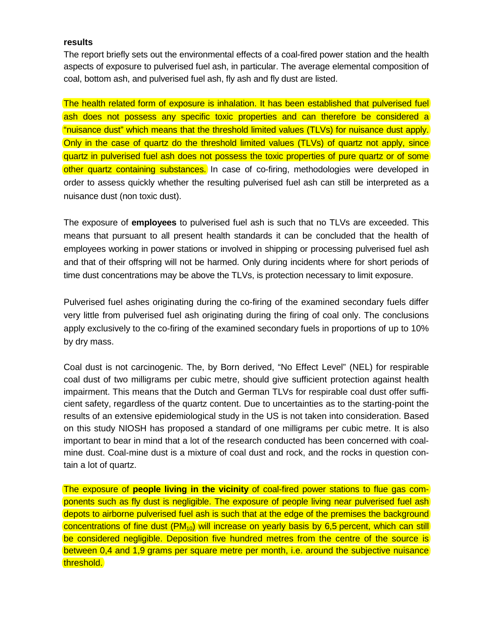#### **results**

The report briefly sets out the environmental effects of a coal-fired power station and the health aspects of exposure to pulverised fuel ash, in particular. The average elemental composition of coal, bottom ash, and pulverised fuel ash, fly ash and fly dust are listed.

The health related form of exposure is inhalation. It has been established that pulverised fuel ash does not possess any specific toxic properties and can therefore be considered a "nuisance dust" which means that the threshold limited values (TLVs) for nuisance dust apply. Only in the case of quartz do the threshold limited values (TLVs) of quartz not apply, since quartz in pulverised fuel ash does not possess the toxic properties of pure quartz or of some other quartz containing substances. In case of co-firing, methodologies were developed in order to assess quickly whether the resulting pulverised fuel ash can still be interpreted as a nuisance dust (non toxic dust).

The exposure of **employees** to pulverised fuel ash is such that no TLVs are exceeded. This means that pursuant to all present health standards it can be concluded that the health of employees working in power stations or involved in shipping or processing pulverised fuel ash and that of their offspring will not be harmed. Only during incidents where for short periods of time dust concentrations may be above the TLVs, is protection necessary to limit exposure.

Pulverised fuel ashes originating during the co-firing of the examined secondary fuels differ very little from pulverised fuel ash originating during the firing of coal only. The conclusions apply exclusively to the co-firing of the examined secondary fuels in proportions of up to 10% by dry mass.

Coal dust is not carcinogenic. The, by Born derived, "No Effect Level" (NEL) for respirable coal dust of two milligrams per cubic metre, should give sufficient protection against health impairment. This means that the Dutch and German TLVs for respirable coal dust offer sufficient safety, regardless of the quartz content. Due to uncertainties as to the starting-point the results of an extensive epidemiological study in the US is not taken into consideration. Based on this study NIOSH has proposed a standard of one milligrams per cubic metre. It is also important to bear in mind that a lot of the research conducted has been concerned with coalmine dust. Coal-mine dust is a mixture of coal dust and rock, and the rocks in question contain a lot of quartz.

The exposure of **people living in the vicinity** of coal-fired power stations to flue gas components such as fly dust is negligible. The exposure of people living near pulverised fuel ash depots to airborne pulverised fuel ash is such that at the edge of the premises the background concentrations of fine dust  $(PM_{10})$  will increase on yearly basis by 6,5 percent, which can still be considered negligible. Deposition five hundred metres from the centre of the source is between 0,4 and 1,9 grams per square metre per month, i.e. around the subjective nuisance threshold.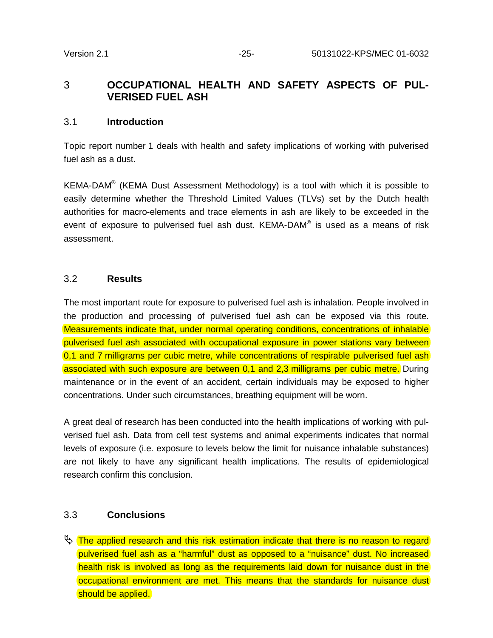## 3 **OCCUPATIONAL HEALTH AND SAFETY ASPECTS OF PUL-VERISED FUEL ASH**

#### 3.1 **Introduction**

Topic report number 1 deals with health and safety implications of working with pulverised fuel ash as a dust.

KEMA-DAM<sup>®</sup> (KEMA Dust Assessment Methodology) is a tool with which it is possible to easily determine whether the Threshold Limited Values (TLVs) set by the Dutch health authorities for macro-elements and trace elements in ash are likely to be exceeded in the event of exposure to pulverised fuel ash dust. KEMA-DAM® is used as a means of risk assessment.

### 3.2 **Results**

The most important route for exposure to pulverised fuel ash is inhalation. People involved in the production and processing of pulverised fuel ash can be exposed via this route. Measurements indicate that, under normal operating conditions, concentrations of inhalable pulverised fuel ash associated with occupational exposure in power stations vary between 0.1 and 7 milligrams per cubic metre, while concentrations of respirable pulverised fuel ash associated with such exposure are between 0,1 and 2,3 milligrams per cubic metre. During maintenance or in the event of an accident, certain individuals may be exposed to higher concentrations. Under such circumstances, breathing equipment will be worn.

A great deal of research has been conducted into the health implications of working with pulverised fuel ash. Data from cell test systems and animal experiments indicates that normal levels of exposure (i.e. exposure to levels below the limit for nuisance inhalable substances) are not likely to have any significant health implications. The results of epidemiological research confirm this conclusion.

#### 3.3 **Conclusions**

 $\mathbb F$  The applied research and this risk estimation indicate that there is no reason to regard pulverised fuel ash as a "harmful" dust as opposed to a "nuisance" dust. No increased health risk is involved as long as the requirements laid down for nuisance dust in the occupational environment are met. This means that the standards for nuisance dust should be applied.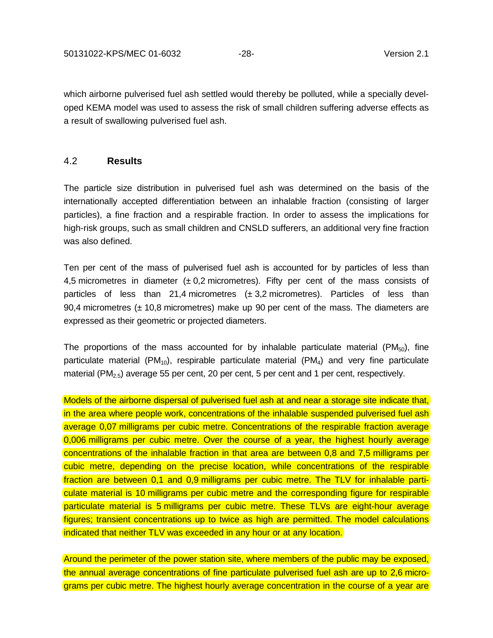which airborne pulverised fuel ash settled would thereby be polluted, while a specially developed KEMA model was used to assess the risk of small children suffering adverse effects as a result of swallowing pulverised fuel ash.

### 4.2 **Results**

The particle size distribution in pulverised fuel ash was determined on the basis of the internationally accepted differentiation between an inhalable fraction (consisting of larger particles), a fine fraction and a respirable fraction. In order to assess the implications for high-risk groups, such as small children and CNSLD sufferers, an additional very fine fraction was also defined.

Ten per cent of the mass of pulverised fuel ash is accounted for by particles of less than 4,5 micrometres in diameter  $(\pm 0.2 \text{ micrometers})$ . Fifty per cent of the mass consists of particles of less than 21,4 micrometres  $(\pm 3.2 \text{ micrometers})$ . Particles of less than 90,4 micrometres  $(\pm 10.8$  micrometres) make up 90 per cent of the mass. The diameters are expressed as their geometric or projected diameters.

The proportions of the mass accounted for by inhalable particulate material  $(PM_{50})$ , fine particulate material ( $PM_{10}$ ), respirable particulate material ( $PM_4$ ) and very fine particulate material (PM $_{2.5}$ ) average 55 per cent, 20 per cent, 5 per cent and 1 per cent, respectively.

Models of the airborne dispersal of pulverised fuel ash at and near a storage site indicate that, in the area where people work, concentrations of the inhalable suspended pulverised fuel ash average 0,07 milligrams per cubic metre. Concentrations of the respirable fraction average 0,006 milligrams per cubic metre. Over the course of a year, the highest hourly average concentrations of the inhalable fraction in that area are between 0,8 and 7,5 milligrams per cubic metre, depending on the precise location, while concentrations of the respirable fraction are between 0,1 and 0,9 milligrams per cubic metre. The TLV for inhalable particulate material is 10 milligrams per cubic metre and the corresponding figure for respirable particulate material is 5 milligrams per cubic metre. These TLVs are eight-hour average figures; transient concentrations up to twice as high are permitted. The model calculations indicated that neither TLV was exceeded in any hour or at any location.

Around the perimeter of the power station site, where members of the public may be exposed, the annual average concentrations of fine particulate pulverised fuel ash are up to 2,6 micrograms per cubic metre. The highest hourly average concentration in the course of a year are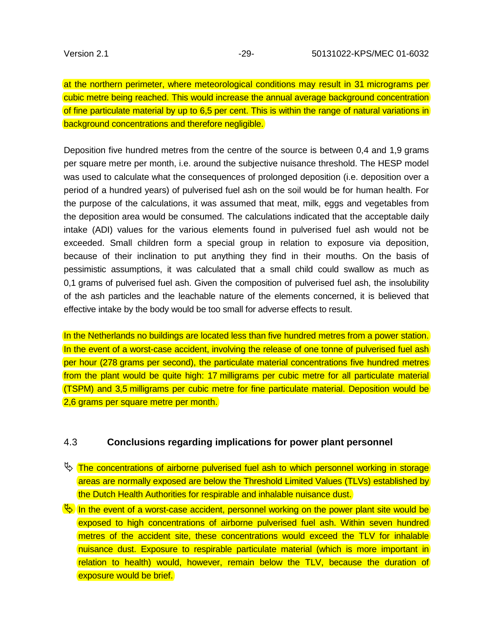at the northern perimeter, where meteorological conditions may result in 31 micrograms per cubic metre being reached. This would increase the annual average background concentration of fine particulate material by up to 6,5 per cent. This is within the range of natural variations in background concentrations and therefore negligible.

Deposition five hundred metres from the centre of the source is between 0,4 and 1,9 grams per square metre per month, i.e. around the subjective nuisance threshold. The HESP model was used to calculate what the consequences of prolonged deposition (i.e. deposition over a period of a hundred years) of pulverised fuel ash on the soil would be for human health. For the purpose of the calculations, it was assumed that meat, milk, eggs and vegetables from the deposition area would be consumed. The calculations indicated that the acceptable daily intake (ADI) values for the various elements found in pulverised fuel ash would not be exceeded. Small children form a special group in relation to exposure via deposition, because of their inclination to put anything they find in their mouths. On the basis of pessimistic assumptions, it was calculated that a small child could swallow as much as 0,1 grams of pulverised fuel ash. Given the composition of pulverised fuel ash, the insolubility of the ash particles and the leachable nature of the elements concerned, it is believed that effective intake by the body would be too small for adverse effects to result.

In the Netherlands no buildings are located less than five hundred metres from a power station. In the event of a worst-case accident, involving the release of one tonne of pulverised fuel ash per hour (278 grams per second), the particulate material concentrations five hundred metres from the plant would be quite high: 17 milligrams per cubic metre for all particulate material (TSPM) and 3,5 milligrams per cubic metre for fine particulate material. Deposition would be 2,6 grams per square metre per month.

#### 4.3 **Conclusions regarding implications for power plant personnel**

- $\mathbb F$  The concentrations of airborne pulverised fuel ash to which personnel working in storage areas are normally exposed are below the Threshold Limited Values (TLVs) established by the Dutch Health Authorities for respirable and inhalable nuisance dust.
- $\mathbb{Q}$  In the event of a worst-case accident, personnel working on the power plant site would be exposed to high concentrations of airborne pulverised fuel ash. Within seven hundred metres of the accident site, these concentrations would exceed the TLV for inhalable nuisance dust. Exposure to respirable particulate material (which is more important in relation to health) would, however, remain below the TLV, because the duration of exposure would be brief.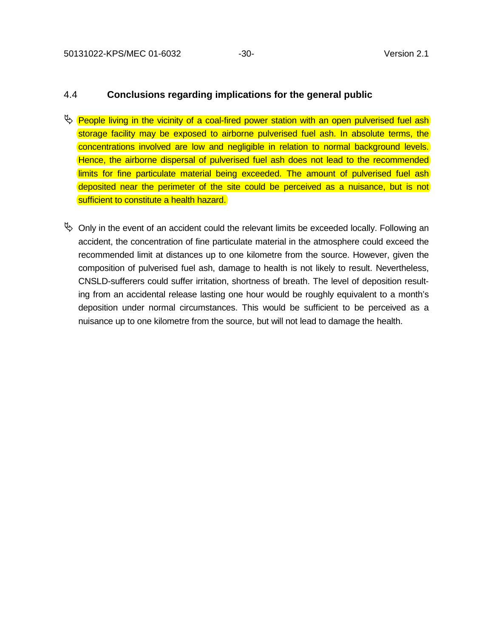## 4.4 **Conclusions regarding implications for the general public**

- $\psi$  People living in the vicinity of a coal-fired power station with an open pulverised fuel ash storage facility may be exposed to airborne pulverised fuel ash. In absolute terms, the concentrations involved are low and negligible in relation to normal background levels. Hence, the airborne dispersal of pulverised fuel ash does not lead to the recommended limits for fine particulate material being exceeded. The amount of pulverised fuel ash deposited near the perimeter of the site could be perceived as a nuisance, but is not sufficient to constitute a health hazard.
- $\%$  Only in the event of an accident could the relevant limits be exceeded locally. Following an accident, the concentration of fine particulate material in the atmosphere could exceed the recommended limit at distances up to one kilometre from the source. However, given the composition of pulverised fuel ash, damage to health is not likely to result. Nevertheless, CNSLD-sufferers could suffer irritation, shortness of breath. The level of deposition resulting from an accidental release lasting one hour would be roughly equivalent to a month's deposition under normal circumstances. This would be sufficient to be perceived as a nuisance up to one kilometre from the source, but will not lead to damage the health.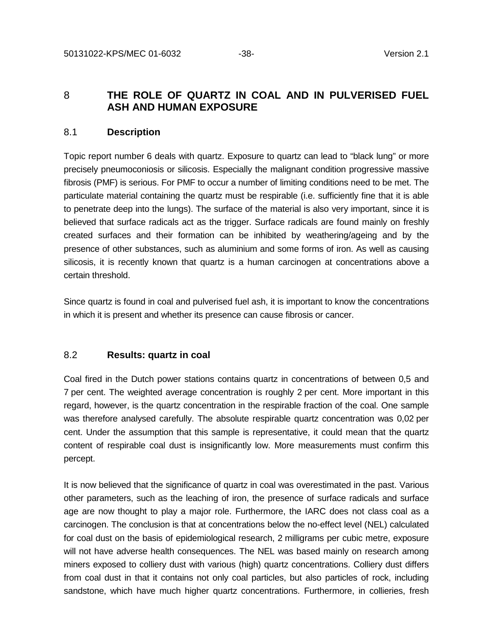## 8 **THE ROLE OF QUARTZ IN COAL AND IN PULVERISED FUEL ASH AND HUMAN EXPOSURE**

#### 8.1 **Description**

Topic report number 6 deals with quartz. Exposure to quartz can lead to "black lung" or more precisely pneumoconiosis or silicosis. Especially the malignant condition progressive massive fibrosis (PMF) is serious. For PMF to occur a number of limiting conditions need to be met. The particulate material containing the quartz must be respirable (i.e. sufficiently fine that it is able to penetrate deep into the lungs). The surface of the material is also very important, since it is believed that surface radicals act as the trigger. Surface radicals are found mainly on freshly created surfaces and their formation can be inhibited by weathering/ageing and by the presence of other substances, such as aluminium and some forms of iron. As well as causing silicosis, it is recently known that quartz is a human carcinogen at concentrations above a certain threshold.

Since quartz is found in coal and pulverised fuel ash, it is important to know the concentrations in which it is present and whether its presence can cause fibrosis or cancer.

#### 8.2 **Results: quartz in coal**

Coal fired in the Dutch power stations contains quartz in concentrations of between 0,5 and 7 per cent. The weighted average concentration is roughly 2 per cent. More important in this regard, however, is the quartz concentration in the respirable fraction of the coal. One sample was therefore analysed carefully. The absolute respirable quartz concentration was 0,02 per cent. Under the assumption that this sample is representative, it could mean that the quartz content of respirable coal dust is insignificantly low. More measurements must confirm this percept.

It is now believed that the significance of quartz in coal was overestimated in the past. Various other parameters, such as the leaching of iron, the presence of surface radicals and surface age are now thought to play a major role. Furthermore, the IARC does not class coal as a carcinogen. The conclusion is that at concentrations below the no-effect level (NEL) calculated for coal dust on the basis of epidemiological research, 2 milligrams per cubic metre, exposure will not have adverse health consequences. The NEL was based mainly on research among miners exposed to colliery dust with various (high) quartz concentrations. Colliery dust differs from coal dust in that it contains not only coal particles, but also particles of rock, including sandstone, which have much higher quartz concentrations. Furthermore, in collieries, fresh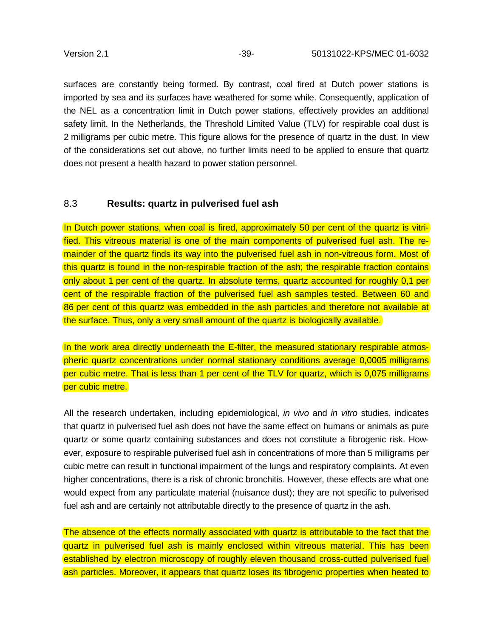surfaces are constantly being formed. By contrast, coal fired at Dutch power stations is imported by sea and its surfaces have weathered for some while. Consequently, application of the NEL as a concentration limit in Dutch power stations, effectively provides an additional safety limit. In the Netherlands, the Threshold Limited Value (TLV) for respirable coal dust is 2 milligrams per cubic metre. This figure allows for the presence of quartz in the dust. In view of the considerations set out above, no further limits need to be applied to ensure that quartz does not present a health hazard to power station personnel.

#### 8.3 **Results: quartz in pulverised fuel ash**

In Dutch power stations, when coal is fired, approximately 50 per cent of the quartz is vitrified. This vitreous material is one of the main components of pulverised fuel ash. The remainder of the quartz finds its way into the pulverised fuel ash in non-vitreous form. Most of this quartz is found in the non-respirable fraction of the ash; the respirable fraction contains only about 1 per cent of the quartz. In absolute terms, quartz accounted for roughly 0,1 per cent of the respirable fraction of the pulverised fuel ash samples tested. Between 60 and 86 per cent of this quartz was embedded in the ash particles and therefore not available at the surface. Thus, only a very small amount of the quartz is biologically available.

In the work area directly underneath the E-filter, the measured stationary respirable atmospheric quartz concentrations under normal stationary conditions average 0,0005 milligrams per cubic metre. That is less than 1 per cent of the TLV for quartz, which is 0,075 milligrams per cubic metre.

All the research undertaken, including epidemiological, *in vivo* and *in vitro* studies, indicates that quartz in pulverised fuel ash does not have the same effect on humans or animals as pure quartz or some quartz containing substances and does not constitute a fibrogenic risk. However, exposure to respirable pulverised fuel ash in concentrations of more than 5 milligrams per cubic metre can result in functional impairment of the lungs and respiratory complaints. At even higher concentrations, there is a risk of chronic bronchitis. However, these effects are what one would expect from any particulate material (nuisance dust); they are not specific to pulverised fuel ash and are certainly not attributable directly to the presence of quartz in the ash.

The absence of the effects normally associated with quartz is attributable to the fact that the quartz in pulverised fuel ash is mainly enclosed within vitreous material. This has been established by electron microscopy of roughly eleven thousand cross-cutted pulverised fuel ash particles. Moreover, it appears that quartz loses its fibrogenic properties when heated to